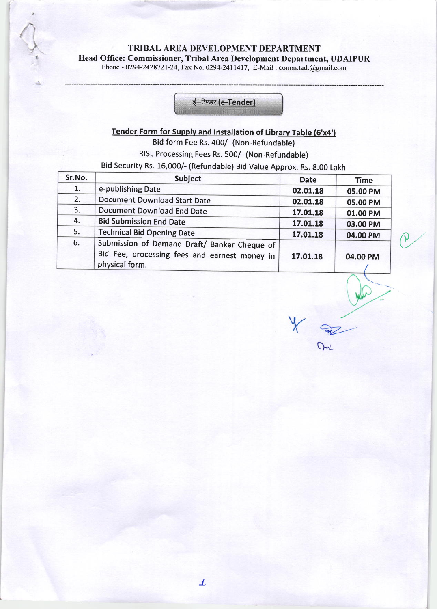TRIBAL AREA DEVELOPMENT DEPARTMENT Head Office: Commissioner, Tribal Area Development Department, UDAIPUR Phone - 0294-2428721-24, Fax No. 0294-2411417, E-Mail : comm.tad.@gmail.com

### <u>ई–टेण्डर (e-Tender)</u>

# Tender Form for Supply and Installation of Library Table (6'x4')

Bid form Fee Rs. 400/- (Non-Refundable)

RISL Processing Fees Rs. 500/- (Non-Refundable)

Bid security Rs. 15,000/- (Refundable) Bid Value Approx. Rs. g.00 Lakh

| Sr.No. | Subject                                                                                                         | <b>Date</b> | <b>Time</b> |
|--------|-----------------------------------------------------------------------------------------------------------------|-------------|-------------|
| 1.     | e-publishing Date                                                                                               | 02.01.18    | 05.00 PM    |
| 2.     | <b>Document Download Start Date</b>                                                                             | 02.01.18    | 05.00 PM    |
| 3.     | <b>Document Download End Date</b>                                                                               | 17.01.18    | 01.00 PM    |
| 4.     | <b>Bid Submission End Date</b>                                                                                  | 17.01.18    | 03.00 PM    |
| 5.     | <b>Technical Bid Opening Date</b>                                                                               | 17.01.18    | 04.00 PM    |
| 6.     | Submission of Demand Draft/ Banker Cheque of<br>Bid Fee, processing fees and earnest money in<br>physical form. | 17.01.18    | 04.00 PM    |

a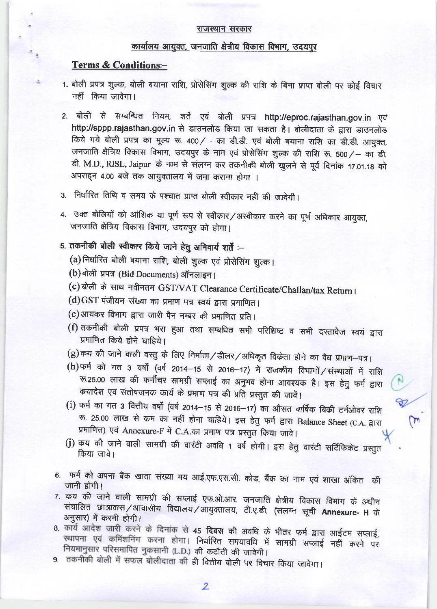#### राजस्थान सरकार

## कार्यालय आयुक्त, जनजाति क्षेत्रीय विकास विभाग, उदयपुर

#### **Terms & Conditions:-**

- 1. बोली प्रपत्र शुल्क, बोली बयाना राशि, प्रोसेसिंग शुल्क की राशि के बिना प्राप्त बोली पर कोई विचार नहीं किया जावेगा।
- 2. बोली से सम्बन्धित नियम, शर्ते एवं बोली प्रपत्र http://eproc.rajasthan.gov.in एवं http://sppp.rajasthan.gov.in से डाउनलोड किया जा सकता है। बोलीदाता के द्वारा डाउनलोड किये गये बोली प्रपत्र का मूल्य रू. 400/ - का डी.डी. एवं बोली बयाना राशि का डी.डी. आयुक्त, जनजाति क्षेत्रिय विकास विभाग, उदयपुर के नाम एवं प्रोसेसिंग शुल्क की राशि रू. 500/- का डी. डी. M.D., RISL, Jaipur के नाम से संलग्न कर तकनीकी बोली खुलने से पूर्व दिनांक 17.01.18 को अपराहन 4.00 बजे तक आयुक्तालय में जमा कराना होगा ।
- 3. निर्धारित तिथि व समय के पश्चात प्राप्त बोली स्वीकार नहीं की जावेगी।
- 4. उक्त बोलियों को आंशिक या पूर्ण रूप से स्वीकार/अस्वीकार करने का पूर्ण अधिकार आयुक्त, जनजाति क्षेत्रिय विकास विभाग, उदयपुर को होगा।

## 5. तकनीकी बोली स्वीकार किये जाने हेतु अनिवार्य शर्ते :-

- (a) निर्धारित बोली बयाना राशि, बोली शुल्क एवं प्रोसेसिंग शुल्क।
- (b) बोली प्रपत्र (Bid Documents) ऑनलाइन।
- (c) बोली के साथ नवीनतम GST/VAT Clearance Certificate/Challan/tax Return।
- (d) GST पंजीयन संख्या का प्रमाण पत्र स्वयं द्वारा प्रमाणित।
- (e) आयकर विभाग द्वारा जारी पैन नम्बर की प्रमाणित प्रति।
- (f) तकनीकी बोली प्रपत्र भरा हुआ तथा सम्बधित सभी परिशिष्ट व सभी दस्तावेज स्वयं द्वारा प्रमाणित किये होने चाहिये।
- (g)कय की जाने वाली वस्तु के लिए निर्माता / डीलर / अधिकृत विकेता होने का वैध प्रमाण-पत्र।
- (h) फर्म को गत 3 वर्षों (वर्ष 2014-15 से 2016-17) में राजकीय विभागों / संस्थाओं में राशि रू.25.00 लाख की फर्नीचर सामग्री सप्लाई का अनुभव होना आवश्यक है। इस हेतु फर्म द्वारा कयादेश एवं संतोषजनक कार्य के प्रमाण पत्र की प्रति प्रस्तुत की जावें।
- (i) फर्म का गत 3 वित्तीय वर्षों (वर्ष 2014-15 से 2016-17) का औसत वार्षिक बिक्री टर्नओवर राशि रू. 25.00 लाख से कम का नहीं होना चाहिये। इस हेतु फर्म द्वारा Balance Sheet (C.A. द्वारा प्रमाणित) एवं Annexure-F में C.A.का प्रमाण पत्र प्रस्तुत किया जावे।
- (j) कय की जाने वाली सामग्री की वारंटी अवधि 1 वर्ष होगी। इस हेतु वारंटी सर्टिफिकेट प्रस्तुत किया जावे।
- 6. फर्म को अपना बैंक खाता संख्या मय आई.एफ.एस.सी. कोड, बैंक का नाम एवं शाखा अंकित की जानी होगी।
- 7. कय की जाने वाली सामग्री की सप्लाई एफ.ओ.आर. जनजाति क्षेत्रीय विकास विभाग के अधीन संचालित छात्रावास/आवासीय विद्यालय/आयुक्तालय, टी.ए.डी. (संलग्न सूची Annexure- H के अनुसार) में करनी होगी।
- 8 कार्य आदेश जारी करने के दिनांक से 45 दिवस की अवधि के भीतर फर्म द्वारा आईटम सप्लाई, स्थापना एवं कमिंशनिंग करना होगा। निर्धारित समयावधि में सामग्री सप्लाई नहीं करने पर नियमानुसार परिसमापित नुकसानी (L.D.) की कटौती की जावेगी।
- 9. तकनीकी बोली में सफल बोलीदाता की ही वित्तीय बोली पर विचार किया जावेगा।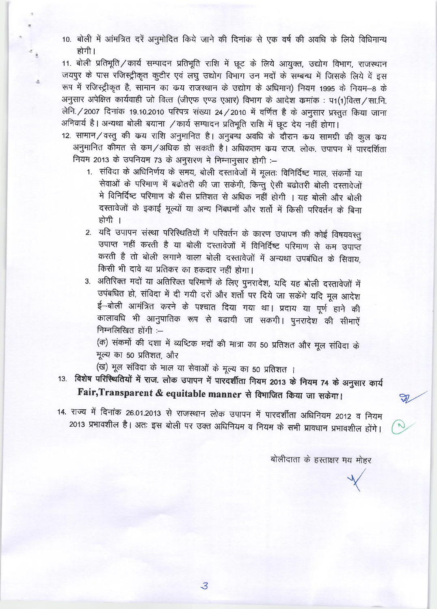10. बोली में आंमत्रित दरें अनुमोदित किये जाने की दिनांक से एक वर्ष की अवधि के लिये विधिमान्य होगी।

11. बोली प्रतिभूति / कार्य सम्पादन प्रतिभूति राशि में छूट के लिये आयुक्त, उद्योग विभाग, राजस्थान जयपुर के पास रजिस्ट्रीकृत कुटीर एवं लघु उद्योग विभाग उन मदों के सम्बन्ध में जिसके लिये वें इस रूप में रजिस्ट्रीकृत है, सामान का कय राजस्थान के उद्योग के अधिमान) नियम 1995 के नियम-8 के अनुसार अपेक्षित कार्यवाही जो वित्त (जीएफ एण्ड एआर) विभाग के आदेश कमांक: प1(1)वित्त/सा.नि. लेनि. / 2007 दिनांक 19.10.2010 परिपत्र संख्या 24 / 2010 में वर्णित है के अनुसार प्रस्तुत किया जाना अनिवार्य है। अन्यथा बोली बयाना / कार्य सम्पादन प्रतिभूति राशि में छूट देय नहीं होगा।

- 12. सामान/वस्तु की कय राशि अनुमानित है। अनुबन्ध अवधि के दौरान कय सामग्री की कुल कय अनुमानित कीमत से कम/अधिक हो सकती है। अधिकतम कय राज. लोक. उपापन में पारदर्शिता नियम 2013 के उपनियम 73 के अनुसरण मे निम्नानुसार होगी :-
	- 1. संविदा के अधिनिर्णय के समय, बोली दस्तावेजों में मूलतः विनिर्दिष्ट माल, संकर्मो या सेवाओं के परिमाण में बढोतरी की जा सकेगी, किन्तु ऐसी बढोतरी बोली दस्तावेजों मे विनिर्दिष्ट परिमाण के बीस प्रतिशत से अधिक नहीं होगी । यह बोली और बोली दस्तावेजों के इकाई मूल्यों या अन्य निंबधनों और शर्तो में किसी परिवर्तन के बिना होगी ।
	- 2. यदि उपापन संस्था परिस्थितियों में परिवर्तन के कारण उपापन की कोई विषयवस्तु उपाप्त नहीं करती है या बोली दस्तावेजों में विनिर्दिष्ट परिमाण से कम उपाप्त करती है तो बोली लगाने वाला बोली दस्तावेजों में अन्यथा उपबंधित के सिवाय, किसी भी दावे या प्रतिकर का हकदार नहीं होगा।
	- 3. अतिरिक्त मदों या अतिरिक्त परिमाणें के लिए पुनरादेश, यदि यह बोली दस्तावेजों में उपंबधित हो, संविदा में दी गयी दरों और शर्तो पर दिये जा सकेंगे यदि मूल आदेश ई–बोली आमंत्रित करने के पश्चात दिया गया था। प्रदाय या पूर्ण हाने की कालावधि भी आनुपातिक रूप से बढायी जा सकगी। पुनरादेश की सीमाऐं निम्नलिखित होंगी :-

(क) संकर्मो की दशा में व्यष्टिक मदों की मात्रा का 50 प्रतिशत और मूल संविदा के मूल्य का 50 प्रतिशत, और

- (ख) मूल संविदा के माल या सेवाओं के मूल्य का 50 प्रतिशत ।
- 13. विशेष परिस्थितियों में राज. लोक उपापन में पारदर्शीता नियम 2013 के नियम 74 के अनुसार कार्य Fair, Transparent & equitable manner से विभाजित किया जा सकेगा।

14. राज्य में दिनांक 26.01.2013 से राजस्थान लोक उपापन में पारदर्शीता अधिनियम 2012 व नियम 2013 प्रभावशील है। अतः इस बोली पर उक्त अधिनियम व नियम के सभी प्रावधान प्रभावशील होंगे।

बोलीदाता के हस्ताक्षर मय मोहर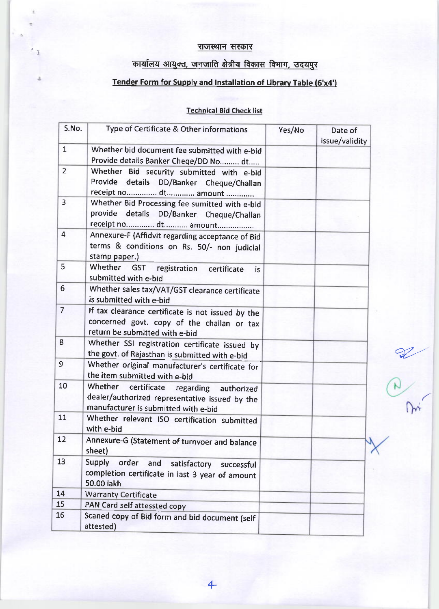### राजस्थान सरकार

# <u>कार्यालय आयुक्त, जनजाति क्षेत्रीय विकास विभाग, उदयपुर</u>

# Tender Form for Supply and Installation of Library Table (6'x4')

### Technical Bid Check list

| S.No.           | Type of Certificate & Other informations                                                                                              | Yes/No | Date of<br>issue/validity |
|-----------------|---------------------------------------------------------------------------------------------------------------------------------------|--------|---------------------------|
| $\mathbf{1}$    | Whether bid document fee submitted with e-bid<br>Provide details Banker Cheqe/DD No  dt                                               |        |                           |
| $\overline{2}$  | Whether Bid security submitted with e-bid<br>Provide details DD/Banker Cheque/Challan<br>receipt no dt amount                         |        |                           |
| 3               | Whether Bid Processing fee sumitted with e-bid<br>provide details DD/Banker Cheque/Challan<br>receipt no dt amount                    |        |                           |
| $\overline{4}$  | Annexure-F (Affidvit regarding acceptance of Bid<br>terms & conditions on Rs. 50/- non judicial<br>stamp paper.)                      |        |                           |
| 5               | Whether GST registration<br>certificate<br>is.<br>submitted with e-bid                                                                |        |                           |
| $6\overline{6}$ | Whether sales tax/VAT/GST clearance certificate<br>is submitted with e-bid                                                            |        |                           |
| $\overline{7}$  | If tax clearance certificate is not issued by the<br>concerned govt. copy of the challan or tax<br>return be submitted with e-bid     |        |                           |
| 8               | Whether SSI registration certificate issued by<br>the govt. of Rajasthan is submitted with e-bid                                      |        |                           |
| $\overline{9}$  | Whether original manufacturer's certificate for<br>the item submitted with e-bid                                                      |        |                           |
| 10              | Whether certificate<br>regarding authorized<br>dealer/authorized representative issued by the<br>manufacturer is submitted with e-bid |        |                           |
| 11              | Whether relevant ISO certification submitted<br>with e-bid                                                                            |        |                           |
| 12              | Annexure-G (Statement of turnvoer and balance<br>sheet)                                                                               |        |                           |
| 13              | Supply<br>order<br>and<br>satisfactory<br>successful<br>completion certificate in last 3 year of amount<br>50.00 lakh                 |        |                           |
| 14              | <b>Warranty Certificate</b>                                                                                                           |        |                           |
| 15              | PAN Card self attessted copy                                                                                                          |        |                           |
| 16              | Scaned copy of Bid form and bid document (self<br>attested)                                                                           |        |                           |

**B. 2000**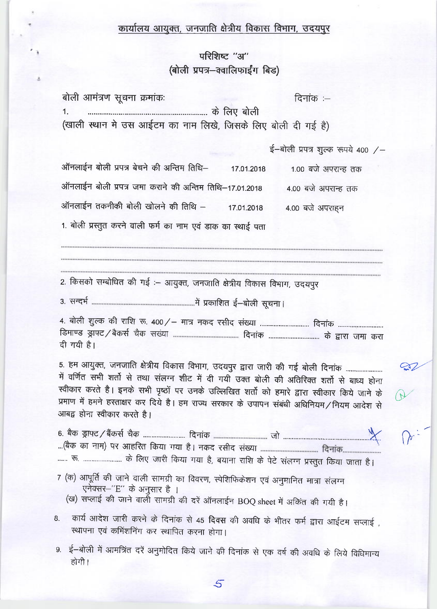### कार्यालय आयुक्त, जनजाति क्षेत्रीय विकास विभाग, उदयपुर

## परिशिष्ट "अ" (बोली प्रपत्र-क्वालिफाईंग बिड)

बोली आमंत्रण सूचना क्रमांकः दिनांक $:=$  $1<sub>1</sub>$ (खाली स्थान मे उस आईटम का नाम लिखे, जिसके लिए बोली दी गई है)

ई-बोली प्रपत्र शुल्क रूपये 400 /-

 $\mathbb{Z}$ 

ऑनलाईन बोली प्रपत्र बेचने की अन्तिम तिथि– 1.00 बजे अपरान्ह तक 17.01.2018 ऑनलाईन बोली प्रपत्र जमा कराने की अन्तिम तिथि-17.01.2018 4.00 बजे अपरान्ह तक ऑनलाईन तकनीकी बोली खोलने की तिथि – 17.01.2018 4.00 बजे अपराहन 1. बोली प्रस्तुत करने वाली फर्म का नाम एवं डाक का स्थाई पता

2. किसको सम्बोधित की गई :- आयुक्त, जनजाति क्षेत्रीय विकास विभाग, उदयपुर

दी गयी है।

5. हम आयुक्त, जनजाति क्षेत्रीय विकास विभाग, उदयपुर द्वारा जारी की गई बोली दिनांक ........................ में वर्णित सभी शर्तो से तथा संलग्न शीट में दी गयी उक्त बोली की अतिरिक्त शर्तो से बाध्य होना स्वीकार करते है। इनके सभी पृष्ठों पर उनके उल्लिखित शर्तो को हमारे द्वारा स्वीकार किये जाने के प्रमाण में हमने हस्ताक्षर कर दिये है। हम राज्य सरकार के उपापन संबंधी अधिनियम/नियम आदेश से आबद्व होना स्वीकार करते है।

...... रू. .......................... के लिए जारी किया गया है, बयाना राशि के पेटे संलग्न प्रस्तुत किया जाता है।

7 (क) आपूर्ति की जाने वाली सामग्री का विवरण, स्पेशिफिकेशन एवं अनुमानित मात्रा संलग्न एनेक्सर-"E" के अनुसार है ।

(ख) सप्लाई की जाने वाली सामग्री की दरें ऑनलाईन BOQ sheet में अकिंत की गयी है।

- कार्य आदेश जारी करने के दिनांक से 45 दिवस की अवधि के भीतर फर्म द्वारा आईटम सप्लाई, 8. स्थापना एवं कमिंशनिंग कर स्थापित करना होगा।
- 9. ई–बोली में आमंत्रित दरें अनुमोदित किये जाने की दिनांक से एक वर्ष की अवधि के लिये विधिमान्य होगी।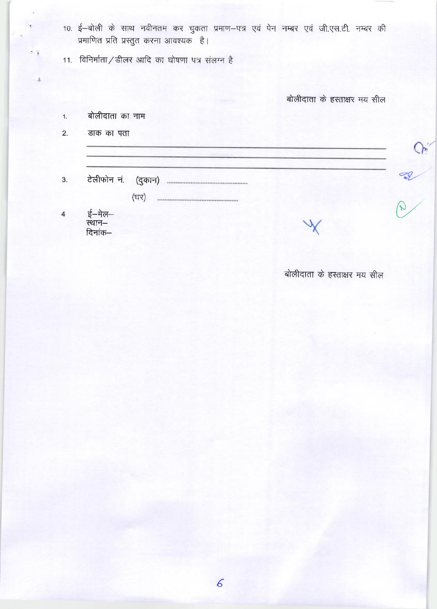- 10. ई-बोली के साथ नवीनतम कर चुकता प्रमाण-पत्र एवं पेन नम्बर एवं जी.एस.टी. नम्बर की प्रमाणित प्रति प्रस्तुत करना आवश्यक है।
- 11. विनिर्माता/डीलर आदि का घोषणा पत्र संलग्न है

बोलीदाता के हस्ताक्षर मय सील

- बोलीदाता का नाम  $1.$
- $2.$ डाक का पता

 $3.$ 

ई—मेल—<br>स्थान— 4 दिनांक–

बोलीदाता के हस्ताक्षर मय सील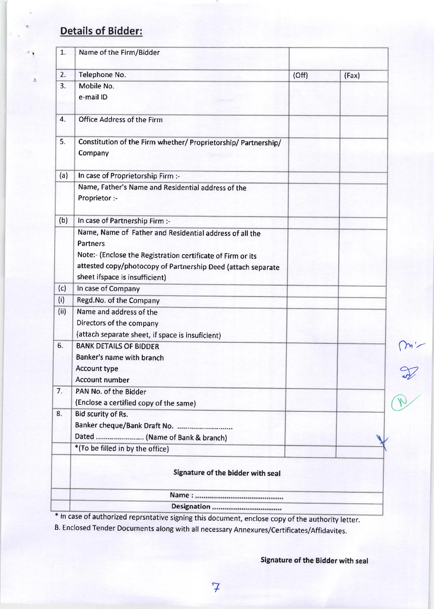# Details of Bidder:

| 1.   | Name of the Firm/Bidder                                                    |       |       |
|------|----------------------------------------------------------------------------|-------|-------|
| 2.   | Telephone No.                                                              | (Off) | (Fax) |
| 3.   | Mobile No.                                                                 |       |       |
|      | e-mail ID                                                                  |       |       |
|      |                                                                            |       |       |
| 4.   | <b>Office Address of the Firm</b>                                          |       |       |
|      |                                                                            |       |       |
| 5.   | Constitution of the Firm whether/ Proprietorship/ Partnership/<br>Company  |       |       |
| (a)  | In case of Proprietorship Firm :-                                          |       |       |
|      | Name, Father's Name and Residential address of the                         |       |       |
|      | Proprietor :-                                                              |       |       |
| (b)  | In case of Partnership Firm :-                                             |       |       |
|      | Name, Name of Father and Residential address of all the<br><b>Partners</b> |       |       |
|      | Note:- (Enclose the Registration certificate of Firm or its                |       |       |
|      | attested copy/photocopy of Partnership Deed (attach separate               |       |       |
|      | sheet ifspace is insufficient)                                             |       |       |
| (c)  | In case of Company                                                         |       |       |
| (i)  | Regd.No. of the Company                                                    |       |       |
| (ii) | Name and address of the                                                    |       |       |
|      | Directors of the company                                                   |       |       |
|      | (attach separate sheet, if space is insuficient)                           |       |       |
| 6.   | <b>BANK DETAILS OF BIDDER</b>                                              |       |       |
|      | Banker's name with branch                                                  |       |       |
|      | Account type                                                               |       |       |
|      | <b>Account number</b>                                                      |       |       |
| 7.   | PAN No. of the Bidder                                                      |       |       |
|      | (Enclose a certified copy of the same)                                     |       |       |
| 8.   | Bid scurity of Rs.                                                         |       |       |
|      | Banker cheque/Bank Draft No.                                               |       |       |
|      | Dated  (Name of Bank & branch)                                             |       |       |
|      | *(To be filled in by the office)                                           |       |       |
|      | Signature of the bidder with seal                                          |       |       |
|      |                                                                            |       |       |
|      |                                                                            |       |       |

\* ln case of authorized reprsntative signing this document, enclose copy of the authority letter.

B. Enclosed render Documents along with all necessary Annexures/certificates/Affidavites.

Signature of the Bidder with seal

 $\sim$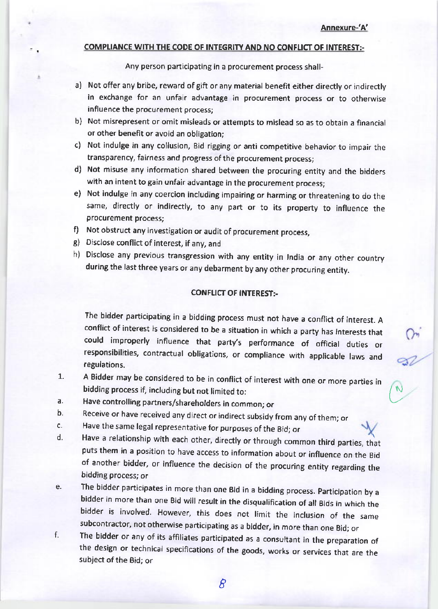$\bigcup_{i=1}^{\infty}$ 

#### COMPLIANCE WITH THE CODE OF INTEGRITY AND NO CONFLICT OF INTEREST:-

Any person panicipating in a procurement process shall-

- a) Not offer any bribe, reward of gift or any material benefit either directly or indirectly in exchange for an unfair advantage in procurement process or to otherwise influence the procurement process:
- b) Not misrepresent or omit misleads or attempts to mislead so as to obtain a financial or other benefit or avoid an obligation;
- c) Not indulge in any collusion, Bid rigging or anti competitive behavior to impair the transparency, fairness and progress of the procurement process;
- d) Not misuse any information shared between the procuring entity and the bidders with an intent to gain unfair advantage in the procurement process;
- e) Not indulge in any coercion including impairing or harming or threatening to do the same, directly or indirectly, to any part or to its property to influence the procurement process;
- f) Not obstruct any investigation or audit of procurement process,
- B) Disclose conflict of interest, if any, and
- h) Disclose any previous transgression with any entity in India or any other country during the last three years or any debarment by any other procuring entity.

#### CONFLICT OF INTEREST:-

The bidder participating in a bidding process must not have a conflict of interest. <sup>A</sup> conflict of interest is considered to be a situation in which a party has interests that could improperly influence that party's performance of oflicial duties or responsibilities, contractual obligations, or compliance with applicable laws and regulations.

- 7. <sup>A</sup>Bidder may be considered to be in conflict of interest with one or more parties in bidding process if, including but not limited to:
- a. Have controlling partners/shareholders in common; or
- b. Receive or have received any direct or indirect subsidy from any of them; or
- c. Have the same legal representative for purposes of the Bid; or
- d. Have a relationship with each other, directly or through common third parties, that puts them in a position to have access to information about or influence on the Bid of another bidder, or influence the decision of the procuring entity regarding the bidding process; or
- e. The bidder participates in more than one Bid in a bidding process. Participation by a bidder in more than one Bid will result in the disqualification of all Bids in which the bidder is involved. However, this does not limit the inclusion of the same subcontractor, not otherwise participating as a bidder, in more than one Bid; or
- f. The bidder or any of its affiliates participated as a consultant in the preparation of the design or technical specifications of the goods, works or services that are the subject of the Bid; or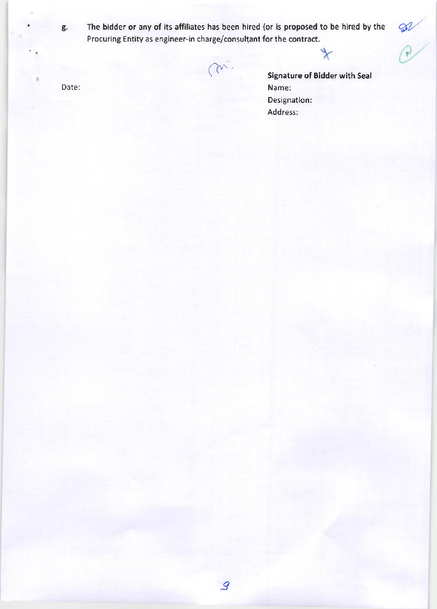g.

The bidder or any of its affiliates has been hired (or is proposed to be hired by the Procuring Entity as engineer-in charge/consultant for the contract.

m

Date:

**Signature of Bidder with Seal** Name: Designation: Address: